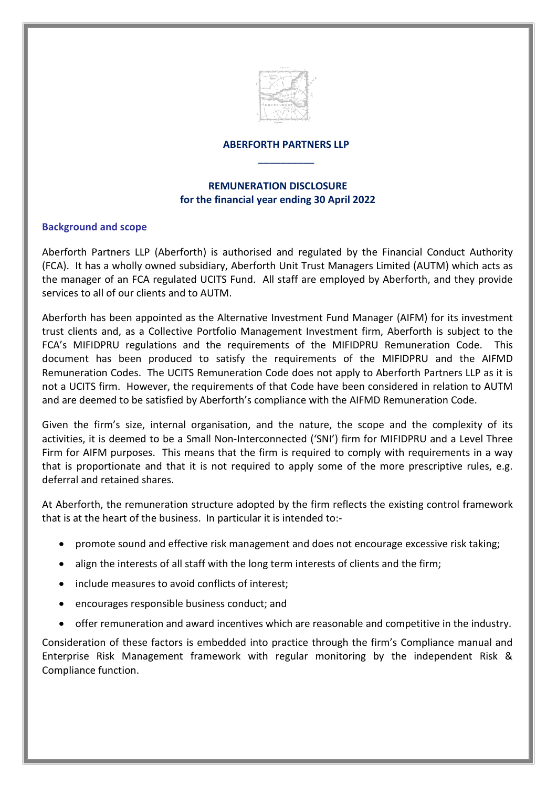

## **ABERFORTH PARTNERS LLP** \_\_\_\_\_\_\_\_\_\_

# **REMUNERATION DISCLOSURE for the financial year ending 30 April 2022**

## **Background and scope**

Aberforth Partners LLP (Aberforth) is authorised and regulated by the Financial Conduct Authority (FCA). It has a wholly owned subsidiary, Aberforth Unit Trust Managers Limited (AUTM) which acts as the manager of an FCA regulated UCITS Fund. All staff are employed by Aberforth, and they provide services to all of our clients and to AUTM.

Aberforth has been appointed as the Alternative Investment Fund Manager (AIFM) for its investment trust clients and, as a Collective Portfolio Management Investment firm, Aberforth is subject to the FCA's MIFIDPRU regulations and the requirements of the MIFIDPRU Remuneration Code. This document has been produced to satisfy the requirements of the MIFIDPRU and the AIFMD Remuneration Codes. The UCITS Remuneration Code does not apply to Aberforth Partners LLP as it is not a UCITS firm. However, the requirements of that Code have been considered in relation to AUTM and are deemed to be satisfied by Aberforth's compliance with the AIFMD Remuneration Code.

Given the firm's size, internal organisation, and the nature, the scope and the complexity of its activities, it is deemed to be a Small Non-Interconnected ('SNI') firm for MIFIDPRU and a Level Three Firm for AIFM purposes. This means that the firm is required to comply with requirements in a way that is proportionate and that it is not required to apply some of the more prescriptive rules, e.g. deferral and retained shares.

At Aberforth, the remuneration structure adopted by the firm reflects the existing control framework that is at the heart of the business. In particular it is intended to:-

- promote sound and effective risk management and does not encourage excessive risk taking;
- align the interests of all staff with the long term interests of clients and the firm;
- include measures to avoid conflicts of interest;
- encourages responsible business conduct; and
- offer remuneration and award incentives which are reasonable and competitive in the industry.

Consideration of these factors is embedded into practice through the firm's Compliance manual and Enterprise Risk Management framework with regular monitoring by the independent Risk & Compliance function.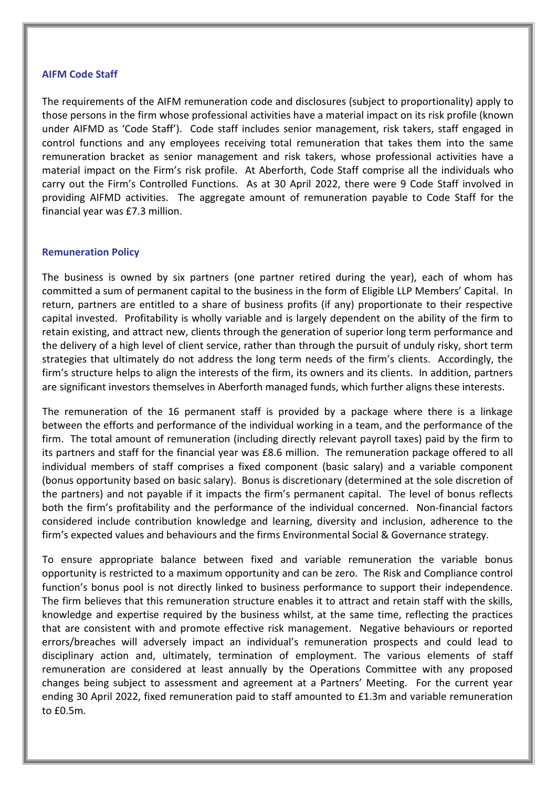### **AIFM Code Staff**

The requirements of the AIFM remuneration code and disclosures (subject to proportionality) apply to those persons in the firm whose professional activities have a material impact on its risk profile (known under AIFMD as 'Code Staff'). Code staff includes senior management, risk takers, staff engaged in control functions and any employees receiving total remuneration that takes them into the same remuneration bracket as senior management and risk takers, whose professional activities have a material impact on the Firm's risk profile. At Aberforth, Code Staff comprise all the individuals who carry out the Firm's Controlled Functions. As at 30 April 2022, there were 9 Code Staff involved in providing AIFMD activities. The aggregate amount of remuneration payable to Code Staff for the financial year was £7.3 million.

#### **Remuneration Policy**

The business is owned by six partners (one partner retired during the year), each of whom has committed a sum of permanent capital to the business in the form of Eligible LLP Members' Capital. In return, partners are entitled to a share of business profits (if any) proportionate to their respective capital invested. Profitability is wholly variable and is largely dependent on the ability of the firm to retain existing, and attract new, clients through the generation of superior long term performance and the delivery of a high level of client service, rather than through the pursuit of unduly risky, short term strategies that ultimately do not address the long term needs of the firm's clients. Accordingly, the firm's structure helps to align the interests of the firm, its owners and its clients. In addition, partners are significant investors themselves in Aberforth managed funds, which further aligns these interests.

The remuneration of the 16 permanent staff is provided by a package where there is a linkage between the efforts and performance of the individual working in a team, and the performance of the firm. The total amount of remuneration (including directly relevant payroll taxes) paid by the firm to its partners and staff for the financial year was £8.6 million. The remuneration package offered to all individual members of staff comprises a fixed component (basic salary) and a variable component (bonus opportunity based on basic salary). Bonus is discretionary (determined at the sole discretion of the partners) and not payable if it impacts the firm's permanent capital. The level of bonus reflects both the firm's profitability and the performance of the individual concerned. Non-financial factors considered include contribution knowledge and learning, diversity and inclusion, adherence to the firm's expected values and behaviours and the firms Environmental Social & Governance strategy.

To ensure appropriate balance between fixed and variable remuneration the variable bonus opportunity is restricted to a maximum opportunity and can be zero. The Risk and Compliance control function's bonus pool is not directly linked to business performance to support their independence. The firm believes that this remuneration structure enables it to attract and retain staff with the skills, knowledge and expertise required by the business whilst, at the same time, reflecting the practices that are consistent with and promote effective risk management. Negative behaviours or reported errors/breaches will adversely impact an individual's remuneration prospects and could lead to disciplinary action and, ultimately, termination of employment. The various elements of staff remuneration are considered at least annually by the Operations Committee with any proposed changes being subject to assessment and agreement at a Partners' Meeting. For the current year ending 30 April 2022, fixed remuneration paid to staff amounted to £1.3m and variable remuneration to £0.5m.